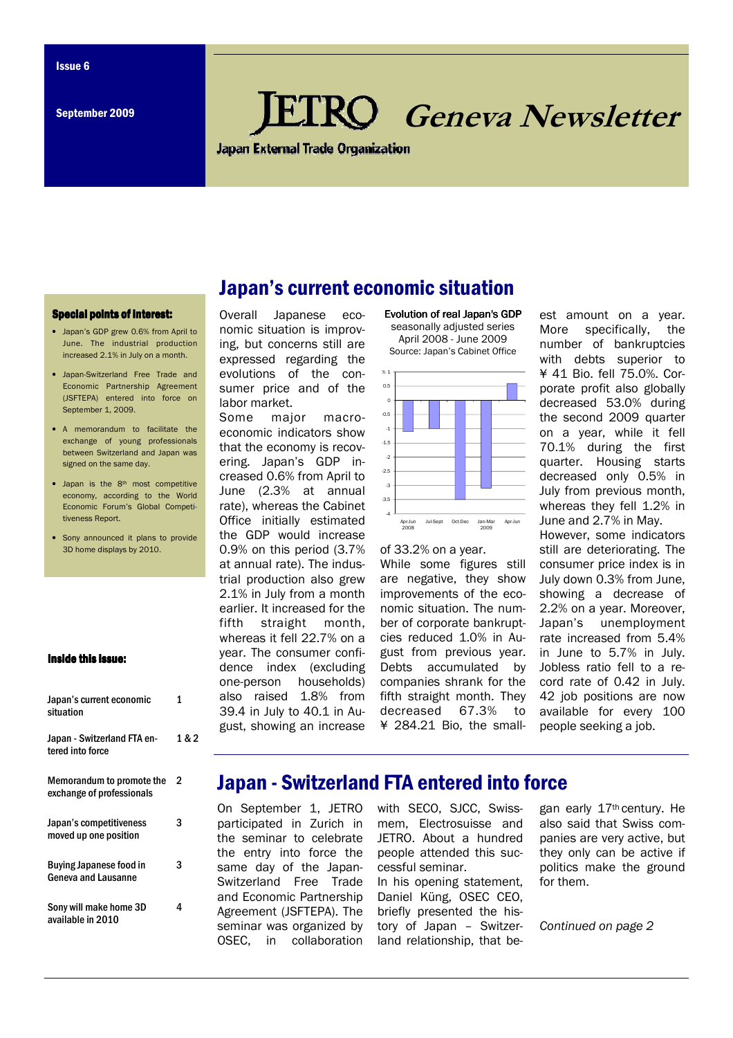# **RO** Geneva Newsletter

**Japan External Trade Organization** 

### **Special points of interest:**

- Japan's GDP grew 0.6% from April to June. The industrial production increased 2.1% in July on a month.
- Japan-Switzerland Free Trade and Economic Partnership Agreement (JSFTEPA) entered into force on September 1, 2009.
- A memorandum to facilitate the exchange of young professionals between Switzerland and Japan was signed on the same day.
- Japan is the 8<sup>th</sup> most competitive economy, according to the World Economic Forum's Global Competitiveness Report.
- Sony announced it plans to provide 3D home displays by 2010.

### Inside this issue:

Japan's current economic

| Japan's current economic<br>situation                  | 1     |
|--------------------------------------------------------|-------|
| Japan - Switzerland FTA en-<br>tered into force        | 1 & 2 |
| Memorandum to promote the<br>exchange of professionals | 2     |
| Japan's competitiveness<br>moved up one position       | 3     |
| <b>Buying Japanese food in</b><br>Geneva and Lausanne  | 3     |
| Sony will make home 3D<br>available in 2010            | 4     |

### Overall Japanese economic situation is improving, but concerns still are expressed regarding the evolutions of the consumer price and of the labor market.

Some major macroeconomic indicators show that the economy is recovering. Japan's GDP increased 0.6% from April to June (2.3% at annual rate), whereas the Cabinet Office initially estimated the GDP would increase 0.9% on this period (3.7% at annual rate). The industrial production also grew 2.1% in July from a month earlier. It increased for the fifth straight month, whereas it fell 22.7% on a year. The consumer confidence index (excluding one-person households) also raised 1.8% from 39.4 in July to 40.1 in August, showing an increase





### of 33.2% on a year.

While some figures still are negative, they show improvements of the economic situation. The number of corporate bankruptcies reduced 1.0% in August from previous year. Debts accumulated by companies shrank for the fifth straight month. They decreased 67.3% to ¥ 284.21 Bio, the smallest amount on a year. More specifically, the number of bankruptcies with debts superior to ¥ 41 Bio. fell 75.0%. Corporate profit also globally decreased 53.0% during the second 2009 quarter on a year, while it fell 70.1% during the first quarter. Housing starts decreased only 0.5% in July from previous month, whereas they fell 1.2% in June and 2.7% in May.

However, some indicators still are deteriorating. The consumer price index is in July down 0.3% from June, showing a decrease of 2.2% on a year. Moreover, Japan's unemployment rate increased from 5.4% in June to 5.7% in July. Jobless ratio fell to a record rate of 0.42 in July. 42 job positions are now available for every 100 people seeking a job.

# Japan - Switzerland FTA entered into force

On September 1, JETRO participated in Zurich in the seminar to celebrate the entry into force the same day of the Japan-Switzerland Free Trade and Economic Partnership Agreement (JSFTEPA). The seminar was organized by OSEC, in collaboration with SECO, SJCC, Swissmem, Electrosuisse and JETRO. About a hundred people attended this successful seminar.

In his opening statement, Daniel Küng, OSEC CEO, briefly presented the history of Japan – Switzerland relationship, that began early 17th century. He also said that Swiss companies are very active, but they only can be active if politics make the ground for them.

Continued on page 2

# Japan's current economic situation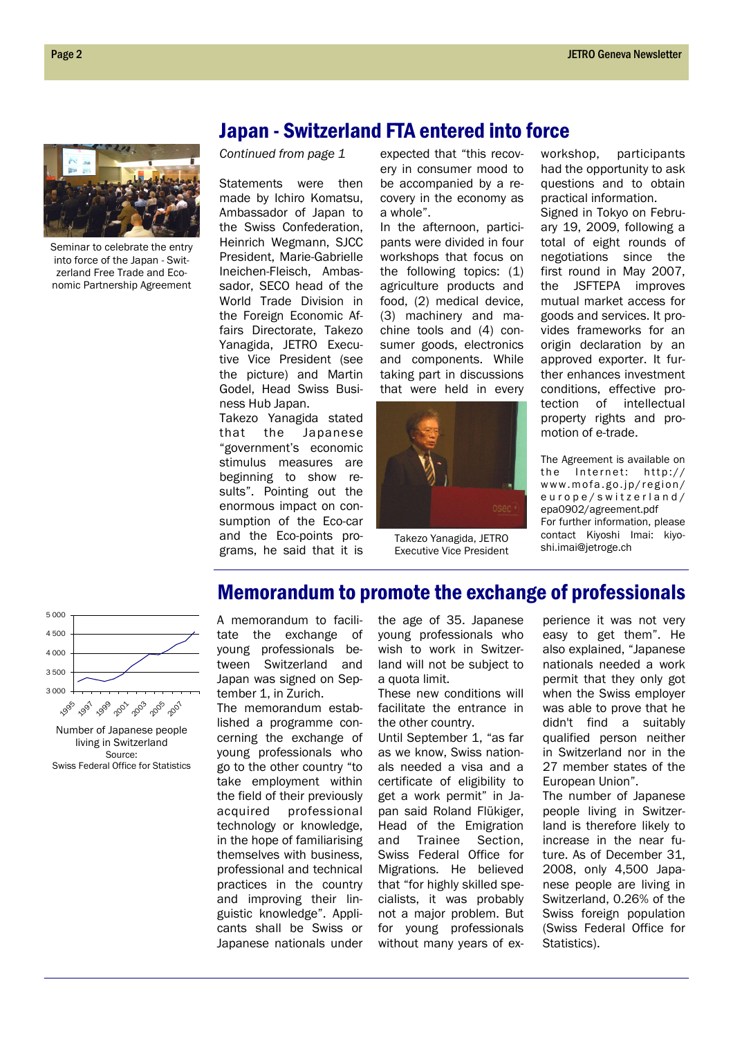Seminar to celebrate the entry into force of the Japan - Switzerland Free Trade and Economic Partnership Agreement

Continued from page 1

Statements were then made by Ichiro Komatsu, Ambassador of Japan to the Swiss Confederation, Heinrich Wegmann, SJCC President, Marie-Gabrielle Ineichen-Fleisch, Ambassador, SECO head of the World Trade Division in the Foreign Economic Affairs Directorate, Takezo Yanagida, JETRO Executive Vice President (see the picture) and Martin Godel, Head Swiss Business Hub Japan.

Takezo Yanagida stated that the Japanese "government's economic stimulus measures are beginning to show results". Pointing out the enormous impact on consumption of the Eco-car and the Eco-points programs, he said that it is expected that "this recovery in consumer mood to be accompanied by a recovery in the economy as a whole".

Japan - Switzerland FTA entered into force

In the afternoon, participants were divided in four workshops that focus on the following topics: (1) agriculture products and food, (2) medical device, (3) machinery and machine tools and (4) consumer goods, electronics and components. While taking part in discussions that were held in every



Takezo Yanagida, JETRO Executive Vice President

Memorandum to promote the exchange of professionals

workshop, participants had the opportunity to ask questions and to obtain practical information.

Signed in Tokyo on February 19, 2009, following a total of eight rounds of negotiations since the first round in May 2007, the JSFTEPA improves mutual market access for goods and services. It provides frameworks for an origin declaration by an approved exporter. It further enhances investment conditions, effective protection of intellectual property rights and promotion of e-trade.

The Agreement is available on the Internet:  $h$ the  $1/$ www.mofa.go.jp/region/ europe/switzerland/ epa0902/agreement.pdf For further information, please contact Kiyoshi Imai: kiyoshi.imai@jetroge.ch



Number of Japanese people living in Switzerland Source: Swiss Federal Office for Statistics

A memorandum to facilitate the exchange of young professionals between Switzerland and Japan was signed on September 1, in Zurich.

The memorandum established a programme concerning the exchange of young professionals who go to the other country "to take employment within the field of their previously acquired professional technology or knowledge, in the hope of familiarising themselves with business, professional and technical practices in the country and improving their linguistic knowledge". Applicants shall be Swiss or Japanese nationals under

the age of 35. Japanese young professionals who wish to work in Switzerland will not be subject to a quota limit.

These new conditions will facilitate the entrance in the other country.

Until September 1, "as far as we know, Swiss nationals needed a visa and a certificate of eligibility to get a work permit" in Japan said Roland Flükiger, Head of the Emigration and Trainee Section, Swiss Federal Office for Migrations. He believed that "for highly skilled specialists, it was probably not a major problem. But for young professionals without many years of experience it was not very easy to get them". He also explained, "Japanese nationals needed a work permit that they only got when the Swiss employer was able to prove that he didn't find a suitably qualified person neither in Switzerland nor in the 27 member states of the European Union".

The number of Japanese people living in Switzerland is therefore likely to increase in the near future. As of December 31, 2008, only 4,500 Japanese people are living in Switzerland, 0.26% of the Swiss foreign population (Swiss Federal Office for Statistics).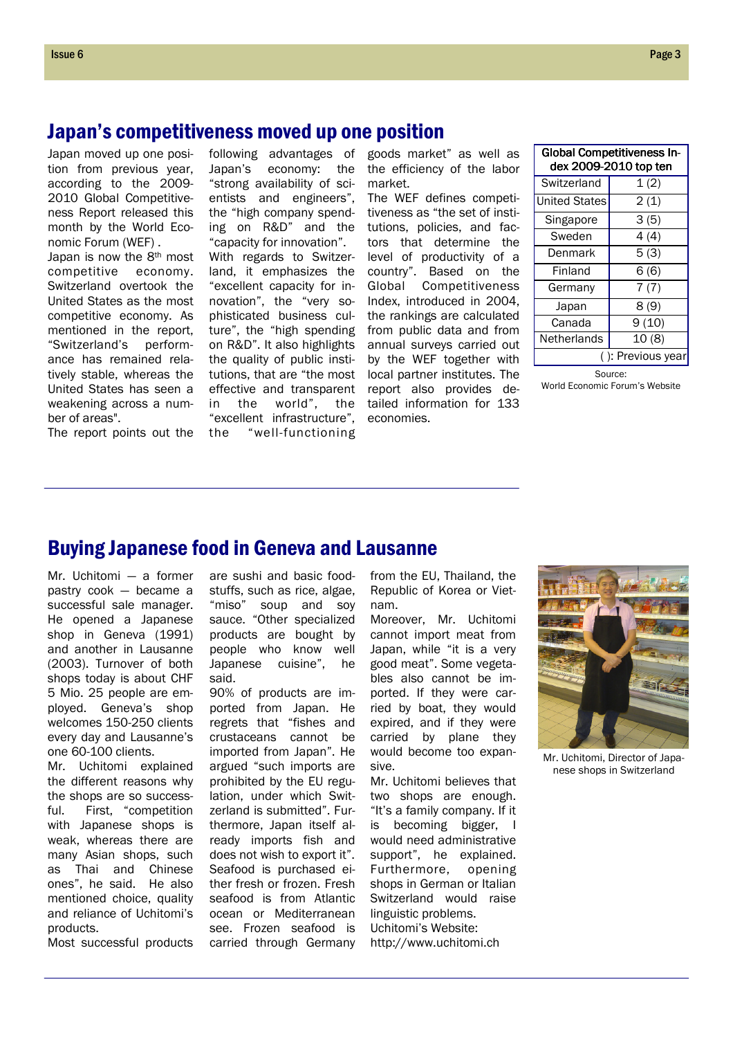# Japan's competitiveness moved up one position

Japan moved up one position from previous year, according to the 2009- 2010 Global Competitiveness Report released this month by the World Economic Forum (WEF) . Japan is now the 8th most competitive economy.

Switzerland overtook the United States as the most competitive economy. As mentioned in the report, "Switzerland's performance has remained relatively stable, whereas the United States has seen a weakening across a number of areas".

following advantages of Japan's economy: the "strong availability of scientists and engineers", the "high company spending on R&D" and the "capacity for innovation". With regards to Switzerland, it emphasizes the "excellent capacity for innovation", the "very sophisticated business culture", the "high spending on R&D". It also highlights the quality of public institutions, that are "the most effective and transparent in the world", the "excellent infrastructure", the "well-functioning

goods market" as well as the efficiency of the labor market.

The WEF defines competitiveness as "the set of institutions, policies, and factors that determine the level of productivity of a country". Based on the Global Competitiveness Index, introduced in 2004, the rankings are calculated from public data and from annual surveys carried out by the WEF together with local partner institutes. The report also provides detailed information for 133 economies.

| <b>Global Competitiveness In-</b><br>dex 2009-2010 top ten |       |  |
|------------------------------------------------------------|-------|--|
| Switzerland                                                | 1(2)  |  |
| <b>United States</b>                                       | 2(1)  |  |
| Singapore                                                  | 3(5)  |  |
| Sweden                                                     | 4(4)  |  |
| Denmark                                                    | 5(3)  |  |
| Finland                                                    | 6(6)  |  |
| Germany                                                    | 7(7)  |  |
| Japan                                                      | 8(9)  |  |
| Canada                                                     | 9(10) |  |
| Netherlands                                                | 10(8) |  |
| (): Previous year                                          |       |  |

Source: World Economic Forum's Website

The report points out the

# Buying Japanese food in Geneva and Lausanne

Mr. Uchitomi — a former pastry cook — became a successful sale manager. He opened a Japanese shop in Geneva (1991) and another in Lausanne (2003). Turnover of both shops today is about CHF 5 Mio. 25 people are employed. Geneva's shop welcomes 150-250 clients every day and Lausanne's one 60-100 clients.

Mr. Uchitomi explained the different reasons why the shops are so successful. First, "competition with Japanese shops is weak, whereas there are many Asian shops, such as Thai and Chinese ones", he said. He also mentioned choice, quality and reliance of Uchitomi's products.

Most successful products

are sushi and basic foodstuffs, such as rice, algae. "miso" soup and soy sauce. "Other specialized products are bought by people who know well Japanese cuisine", he said.

90% of products are imported from Japan. He regrets that "fishes and crustaceans cannot be imported from Japan". He argued "such imports are prohibited by the EU regulation, under which Switzerland is submitted". Furthermore, Japan itself already imports fish and does not wish to export it". Seafood is purchased either fresh or frozen. Fresh seafood is from Atlantic ocean or Mediterranean see. Frozen seafood is carried through Germany from the EU, Thailand, the Republic of Korea or Vietnam.

Moreover, Mr. Uchitomi cannot import meat from Japan, while "it is a very good meat". Some vegetables also cannot be imported. If they were carried by boat, they would expired, and if they were carried by plane they would become too expansive.

Mr. Uchitomi believes that two shops are enough. "It's a family company. If it is becoming bigger, I would need administrative support", he explained. Furthermore, opening shops in German or Italian Switzerland would raise linguistic problems. Uchitomi's Website: http://www.uchitomi.ch



Mr. Uchitomi, Director of Japanese shops in Switzerland